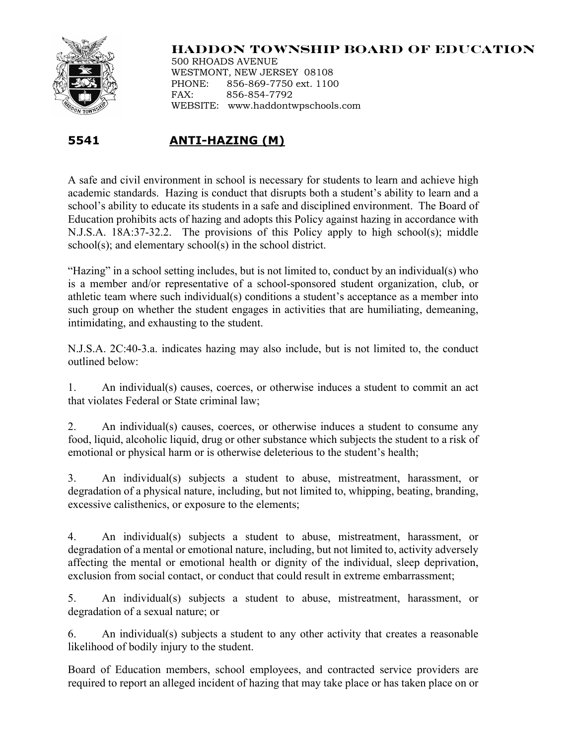

## **HADDON TOWNSHIP BOARD OF EDUCATION**

500 RHOADS AVENUE WESTMONT, NEW JERSEY 08108 PHONE: 856-869-7750 ext. 1100 FAX: 856-854-7792 WEBSITE: www.haddontwpschools.com

## **5541 ANTI-HAZING (M)**

A safe and civil environment in school is necessary for students to learn and achieve high academic standards. Hazing is conduct that disrupts both a student's ability to learn and a school's ability to educate its students in a safe and disciplined environment. The Board of Education prohibits acts of hazing and adopts this Policy against hazing in accordance with N.J.S.A. 18A:37-32.2. The provisions of this Policy apply to high school(s); middle school(s); and elementary school(s) in the school district.

"Hazing" in a school setting includes, but is not limited to, conduct by an individual(s) who is a member and/or representative of a school-sponsored student organization, club, or athletic team where such individual(s) conditions a student's acceptance as a member into such group on whether the student engages in activities that are humiliating, demeaning, intimidating, and exhausting to the student.

N.J.S.A. 2C:40-3.a. indicates hazing may also include, but is not limited to, the conduct outlined below:

1. An individual(s) causes, coerces, or otherwise induces a student to commit an act that violates Federal or State criminal law;

2. An individual(s) causes, coerces, or otherwise induces a student to consume any food, liquid, alcoholic liquid, drug or other substance which subjects the student to a risk of emotional or physical harm or is otherwise deleterious to the student's health;

3. An individual(s) subjects a student to abuse, mistreatment, harassment, or degradation of a physical nature, including, but not limited to, whipping, beating, branding, excessive calisthenics, or exposure to the elements;

4. An individual(s) subjects a student to abuse, mistreatment, harassment, or degradation of a mental or emotional nature, including, but not limited to, activity adversely affecting the mental or emotional health or dignity of the individual, sleep deprivation, exclusion from social contact, or conduct that could result in extreme embarrassment;

5. An individual(s) subjects a student to abuse, mistreatment, harassment, or degradation of a sexual nature; or

6. An individual(s) subjects a student to any other activity that creates a reasonable likelihood of bodily injury to the student.

Board of Education members, school employees, and contracted service providers are required to report an alleged incident of hazing that may take place or has taken place on or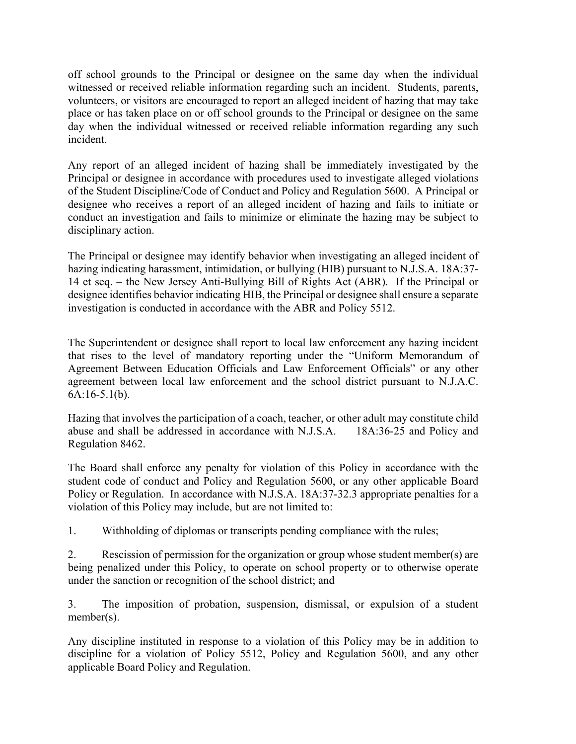off school grounds to the Principal or designee on the same day when the individual witnessed or received reliable information regarding such an incident. Students, parents, volunteers, or visitors are encouraged to report an alleged incident of hazing that may take place or has taken place on or off school grounds to the Principal or designee on the same day when the individual witnessed or received reliable information regarding any such incident.

Any report of an alleged incident of hazing shall be immediately investigated by the Principal or designee in accordance with procedures used to investigate alleged violations of the Student Discipline/Code of Conduct and Policy and Regulation 5600. A Principal or designee who receives a report of an alleged incident of hazing and fails to initiate or conduct an investigation and fails to minimize or eliminate the hazing may be subject to disciplinary action.

The Principal or designee may identify behavior when investigating an alleged incident of hazing indicating harassment, intimidation, or bullying (HIB) pursuant to N.J.S.A. 18A:37- 14 et seq. – the New Jersey Anti-Bullying Bill of Rights Act (ABR). If the Principal or designee identifies behavior indicating HIB, the Principal or designee shall ensure a separate investigation is conducted in accordance with the ABR and Policy 5512.

The Superintendent or designee shall report to local law enforcement any hazing incident that rises to the level of mandatory reporting under the "Uniform Memorandum of Agreement Between Education Officials and Law Enforcement Officials" or any other agreement between local law enforcement and the school district pursuant to N.J.A.C. 6A:16-5.1(b).

Hazing that involves the participation of a coach, teacher, or other adult may constitute child abuse and shall be addressed in accordance with N.J.S.A. 18A:36-25 and Policy and Regulation 8462.

The Board shall enforce any penalty for violation of this Policy in accordance with the student code of conduct and Policy and Regulation 5600, or any other applicable Board Policy or Regulation. In accordance with N.J.S.A. 18A:37-32.3 appropriate penalties for a violation of this Policy may include, but are not limited to:

1. Withholding of diplomas or transcripts pending compliance with the rules;

2. Rescission of permission for the organization or group whose student member(s) are being penalized under this Policy, to operate on school property or to otherwise operate under the sanction or recognition of the school district; and

3. The imposition of probation, suspension, dismissal, or expulsion of a student member(s).

Any discipline instituted in response to a violation of this Policy may be in addition to discipline for a violation of Policy 5512, Policy and Regulation 5600, and any other applicable Board Policy and Regulation.